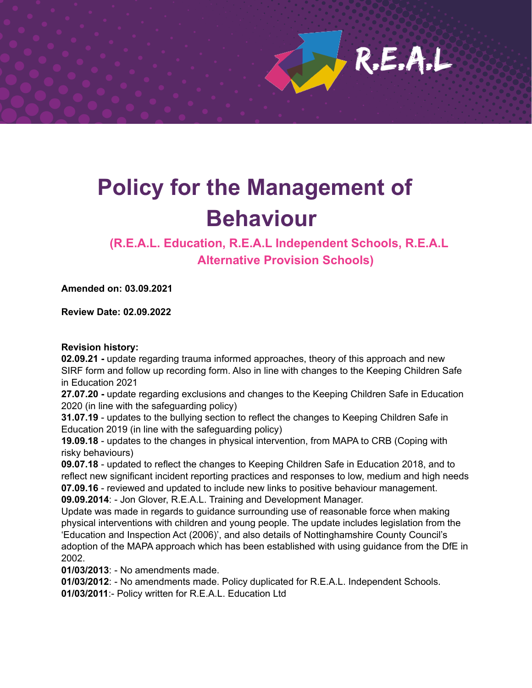$R.E.A.L$ 

# **Policy for the Management of Behaviour**

**(R.E.A.L. Education, R.E.A.L Independent Schools, R.E.A.L Alternative Provision Schools)**

**Amended on: 03.09.2021**

**Review Date: 02.09.2022**

#### **Revision history:**

**02.09.21 -** update regarding trauma informed approaches, theory of this approach and new SIRF form and follow up recording form. Also in line with changes to the Keeping Children Safe in Education 2021

**27.07.20 -** update regarding exclusions and changes to the Keeping Children Safe in Education 2020 (in line with the safeguarding policy)

**31.07.19** - updates to the bullying section to reflect the changes to Keeping Children Safe in Education 2019 (in line with the safeguarding policy)

**19.09.18** - updates to the changes in physical intervention, from MAPA to CRB (Coping with risky behaviours)

**09.07.18** - updated to reflect the changes to Keeping Children Safe in Education 2018, and to reflect new significant incident reporting practices and responses to low, medium and high needs **07.09.16** - reviewed and updated to include new links to positive behaviour management. **09.09.2014**: - Jon Glover, R.E.A.L. Training and Development Manager.

Update was made in regards to guidance surrounding use of reasonable force when making physical interventions with children and young people. The update includes legislation from the 'Education and Inspection Act (2006)', and also details of Nottinghamshire County Council's adoption of the MAPA approach which has been established with using guidance from the DfE in 2002.

**01/03/2013**: - No amendments made.

**01/03/2012**: - No amendments made. Policy duplicated for R.E.A.L. Independent Schools.

**01/03/2011**:- Policy written for R.E.A.L. Education Ltd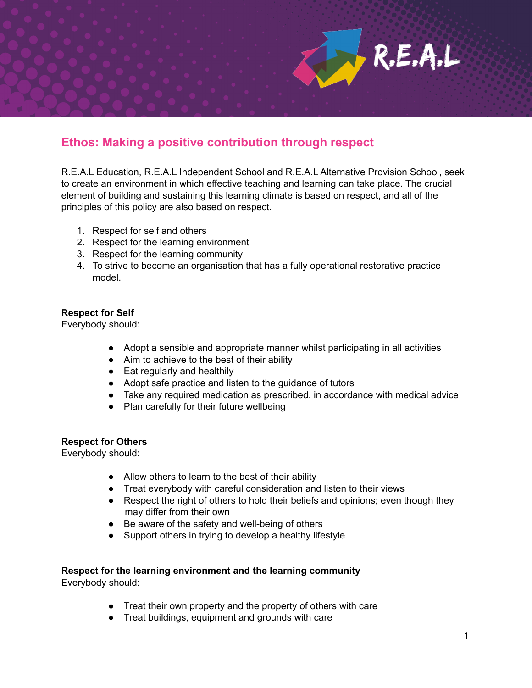

# **Ethos: Making a positive contribution through respect**

R.E.A.L Education, R.E.A.L Independent School and R.E.A.L Alternative Provision School, seek to create an environment in which effective teaching and learning can take place. The crucial element of building and sustaining this learning climate is based on respect, and all of the principles of this policy are also based on respect.

- 1. Respect for self and others
- 2. Respect for the learning environment
- 3. Respect for the learning community
- 4. To strive to become an organisation that has a fully operational restorative practice model.

#### **Respect for Self**

Everybody should:

- Adopt a sensible and appropriate manner whilst participating in all activities
- Aim to achieve to the best of their ability
- Eat regularly and healthily
- Adopt safe practice and listen to the guidance of tutors
- Take any required medication as prescribed, in accordance with medical advice
- Plan carefully for their future wellbeing

#### **Respect for Others**

Everybody should:

- Allow others to learn to the best of their ability
- Treat everybody with careful consideration and listen to their views
- Respect the right of others to hold their beliefs and opinions; even though they may differ from their own
- Be aware of the safety and well-being of others
- Support others in trying to develop a healthy lifestyle

# **Respect for the learning environment and the learning community**

Everybody should:

- Treat their own property and the property of others with care
- Treat buildings, equipment and grounds with care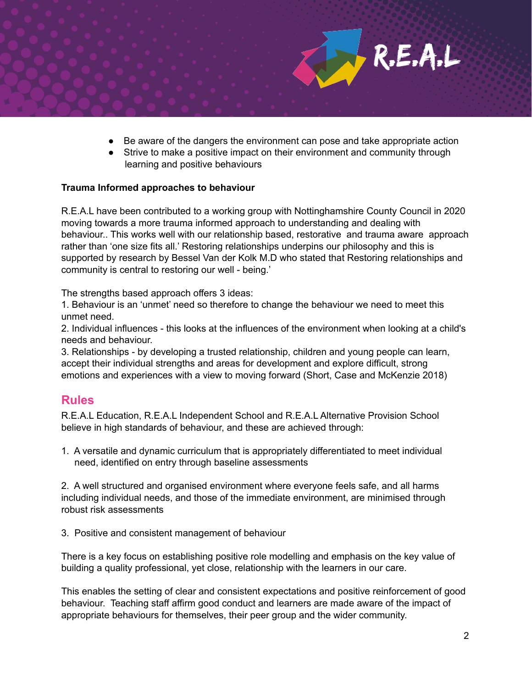

- Be aware of the dangers the environment can pose and take appropriate action
- Strive to make a positive impact on their environment and community through learning and positive behaviours

#### **Trauma Informed approaches to behaviour**

R.E.A.L have been contributed to a working group with Nottinghamshire County Council in 2020 moving towards a more trauma informed approach to understanding and dealing with behaviour.. This works well with our relationship based, restorative and trauma aware approach rather than 'one size fits all.' Restoring relationships underpins our philosophy and this is supported by research by Bessel Van der Kolk M.D who stated that Restoring relationships and community is central to restoring our well - being.'

The strengths based approach offers 3 ideas:

1. Behaviour is an 'unmet' need so therefore to change the behaviour we need to meet this unmet need.

2. Individual influences - this looks at the influences of the environment when looking at a child's needs and behaviour.

3. Relationships - by developing a trusted relationship, children and young people can learn, accept their individual strengths and areas for development and explore difficult, strong emotions and experiences with a view to moving forward (Short, Case and McKenzie 2018)

## **Rules**

R.E.A.L Education, R.E.A.L Independent School and R.E.A.L Alternative Provision School believe in high standards of behaviour, and these are achieved through:

1. A versatile and dynamic curriculum that is appropriately differentiated to meet individual need, identified on entry through baseline assessments

2. A well structured and organised environment where everyone feels safe, and all harms including individual needs, and those of the immediate environment, are minimised through robust risk assessments

3. Positive and consistent management of behaviour

There is a key focus on establishing positive role modelling and emphasis on the key value of building a quality professional, yet close, relationship with the learners in our care.

This enables the setting of clear and consistent expectations and positive reinforcement of good behaviour. Teaching staff affirm good conduct and learners are made aware of the impact of appropriate behaviours for themselves, their peer group and the wider community.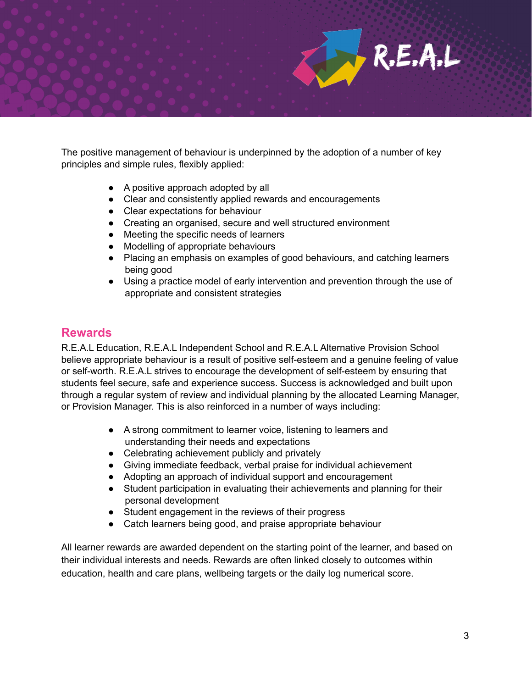The positive management of behaviour is underpinned by the adoption of a number of key principles and simple rules, flexibly applied:

- A positive approach adopted by all
- Clear and consistently applied rewards and encouragements
- Clear expectations for behaviour
- Creating an organised, secure and well structured environment
- Meeting the specific needs of learners
- Modelling of appropriate behaviours
- Placing an emphasis on examples of good behaviours, and catching learners being good
- Using a practice model of early intervention and prevention through the use of appropriate and consistent strategies

## **Rewards**

R.E.A.L Education, R.E.A.L Independent School and R.E.A.L Alternative Provision School believe appropriate behaviour is a result of positive self-esteem and a genuine feeling of value or self-worth. R.E.A.L strives to encourage the development of self-esteem by ensuring that students feel secure, safe and experience success. Success is acknowledged and built upon through a regular system of review and individual planning by the allocated Learning Manager, or Provision Manager. This is also reinforced in a number of ways including:

- A strong commitment to learner voice, listening to learners and understanding their needs and expectations
- Celebrating achievement publicly and privately
- Giving immediate feedback, verbal praise for individual achievement
- Adopting an approach of individual support and encouragement
- Student participation in evaluating their achievements and planning for their personal development
- Student engagement in the reviews of their progress
- Catch learners being good, and praise appropriate behaviour

All learner rewards are awarded dependent on the starting point of the learner, and based on their individual interests and needs. Rewards are often linked closely to outcomes within education, health and care plans, wellbeing targets or the daily log numerical score.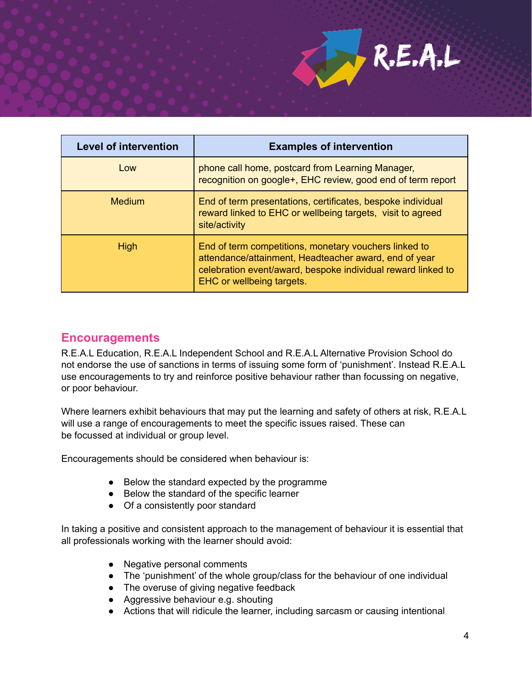

| <b>Level of intervention</b> | <b>Examples of intervention</b>                                                                                                                                                                             |
|------------------------------|-------------------------------------------------------------------------------------------------------------------------------------------------------------------------------------------------------------|
| Low                          | phone call home, postcard from Learning Manager,<br>recognition on google+, EHC review, good end of term report                                                                                             |
| <b>Medium</b>                | End of term presentations, certificates, bespoke individual<br>reward linked to EHC or wellbeing targets, visit to agreed<br>site/activity                                                                  |
| <b>High</b>                  | End of term competitions, monetary vouchers linked to<br>attendance/attainment, Headteacher award, end of year<br>celebration event/award, bespoke individual reward linked to<br>EHC or wellbeing targets. |

# **Encouragements**

R.E.A.L Education, R.E.A.L Independent School and R.E.A.L Alternative Provision School do not endorse the use of sanctions in terms of issuing some form of 'punishment'. Instead R.E.A.L use encouragements to try and reinforce positive behaviour rather than focussing on negative, or poor behaviour.

Where learners exhibit behaviours that may put the learning and safety of others at risk, R.E.A.L will use a range of encouragements to meet the specific issues raised. These can be focussed at individual or group level.

Encouragements should be considered when behaviour is:

- Below the standard expected by the programme
- Below the standard of the specific learner
- Of a consistently poor standard

In taking a positive and consistent approach to the management of behaviour it is essential that all professionals working with the learner should avoid:

- Negative personal comments
- The 'punishment' of the whole group/class for the behaviour of one individual
- The overuse of giving negative feedback
- Aggressive behaviour e.g. shouting
- Actions that will ridicule the learner, including sarcasm or causing intentional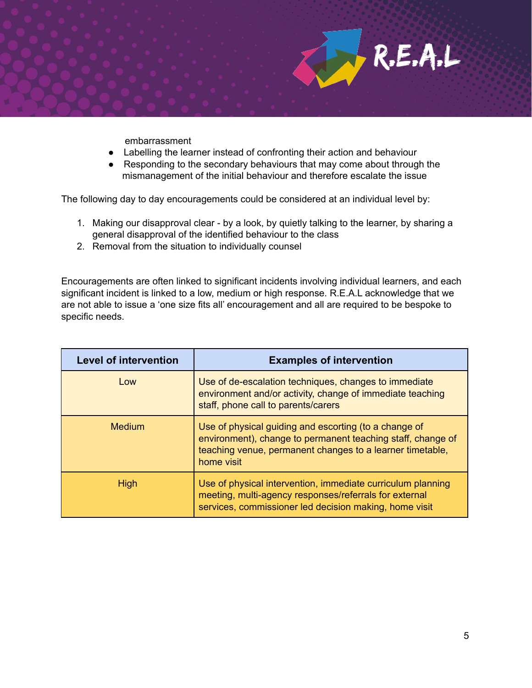

embarrassment

- Labelling the learner instead of confronting their action and behaviour
- Responding to the secondary behaviours that may come about through the mismanagement of the initial behaviour and therefore escalate the issue

The following day to day encouragements could be considered at an individual level by:

- 1. Making our disapproval clear by a look, by quietly talking to the learner, by sharing a general disapproval of the identified behaviour to the class
- 2. Removal from the situation to individually counsel

Encouragements are often linked to significant incidents involving individual learners, and each significant incident is linked to a low, medium or high response. R.E.A.L acknowledge that we are not able to issue a 'one size fits all' encouragement and all are required to be bespoke to specific needs.

| <b>Level of intervention</b> | <b>Examples of intervention</b>                                                                                                                                                                 |
|------------------------------|-------------------------------------------------------------------------------------------------------------------------------------------------------------------------------------------------|
| Low                          | Use of de-escalation techniques, changes to immediate<br>environment and/or activity, change of immediate teaching<br>staff, phone call to parents/carers                                       |
| <b>Medium</b>                | Use of physical guiding and escorting (to a change of<br>environment), change to permanent teaching staff, change of<br>teaching venue, permanent changes to a learner timetable,<br>home visit |
| <b>High</b>                  | Use of physical intervention, immediate curriculum planning<br>meeting, multi-agency responses/referrals for external<br>services, commissioner led decision making, home visit                 |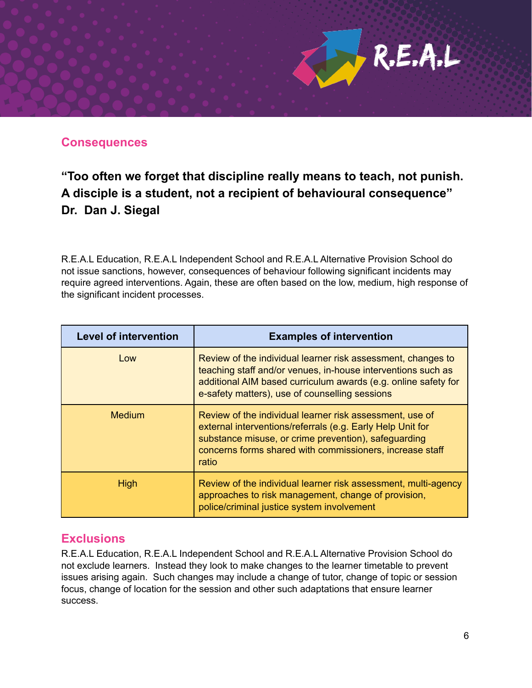# **Consequences**

# **"Too often we forget that discipline really means to teach, not punish. A disciple is a student, not a recipient of behavioural consequence" Dr. Dan J. Siegal**

R.E.A.L Education, R.E.A.L Independent School and R.E.A.L Alternative Provision School do not issue sanctions, however, consequences of behaviour following significant incidents may require agreed interventions. Again, these are often based on the low, medium, high response of the significant incident processes.

| <b>Level of intervention</b> | <b>Examples of intervention</b>                                                                                                                                                                                                                     |
|------------------------------|-----------------------------------------------------------------------------------------------------------------------------------------------------------------------------------------------------------------------------------------------------|
| Low                          | Review of the individual learner risk assessment, changes to<br>teaching staff and/or venues, in-house interventions such as<br>additional AIM based curriculum awards (e.g. online safety for<br>e-safety matters), use of counselling sessions    |
| <b>Medium</b>                | Review of the individual learner risk assessment, use of<br>external interventions/referrals (e.g. Early Help Unit for<br>substance misuse, or crime prevention), safeguarding<br>concerns forms shared with commissioners, increase staff<br>ratio |
| <b>High</b>                  | Review of the individual learner risk assessment, multi-agency<br>approaches to risk management, change of provision,<br>police/criminal justice system involvement                                                                                 |

# **Exclusions**

R.E.A.L Education, R.E.A.L Independent School and R.E.A.L Alternative Provision School do not exclude learners. Instead they look to make changes to the learner timetable to prevent issues arising again. Such changes may include a change of tutor, change of topic or session focus, change of location for the session and other such adaptations that ensure learner success.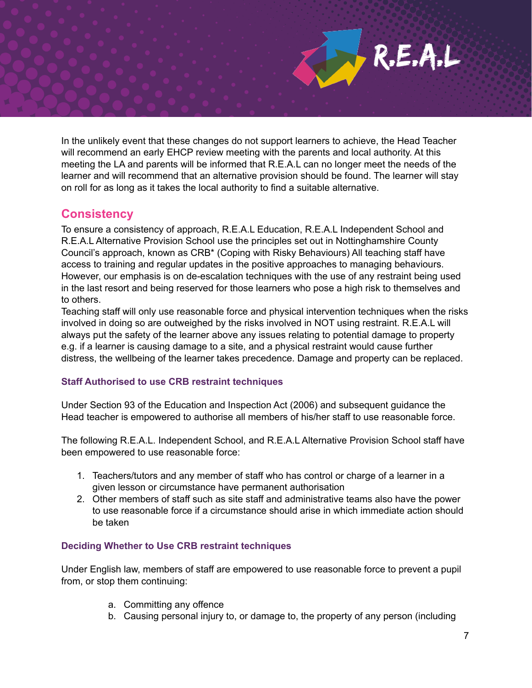In the unlikely event that these changes do not support learners to achieve, the Head Teacher will recommend an early EHCP review meeting with the parents and local authority. At this meeting the LA and parents will be informed that R.E.A.L can no longer meet the needs of the learner and will recommend that an alternative provision should be found. The learner will stay on roll for as long as it takes the local authority to find a suitable alternative.

# **Consistency**

To ensure a consistency of approach, R.E.A.L Education, R.E.A.L Independent School and R.E.A.L Alternative Provision School use the principles set out in Nottinghamshire County Council's approach, known as CRB\* (Coping with Risky Behaviours) All teaching staff have access to training and regular updates in the positive approaches to managing behaviours. However, our emphasis is on de-escalation techniques with the use of any restraint being used in the last resort and being reserved for those learners who pose a high risk to themselves and to others.

Teaching staff will only use reasonable force and physical intervention techniques when the risks involved in doing so are outweighed by the risks involved in NOT using restraint. R.E.A.L will always put the safety of the learner above any issues relating to potential damage to property e.g. if a learner is causing damage to a site, and a physical restraint would cause further distress, the wellbeing of the learner takes precedence. Damage and property can be replaced.

### **Staff Authorised to use CRB restraint techniques**

Under Section 93 of the Education and Inspection Act (2006) and subsequent guidance the Head teacher is empowered to authorise all members of his/her staff to use reasonable force.

The following R.E.A.L. Independent School, and R.E.A.L Alternative Provision School staff have been empowered to use reasonable force:

- 1. Teachers/tutors and any member of staff who has control or charge of a learner in a given lesson or circumstance have permanent authorisation
- 2. Other members of staff such as site staff and administrative teams also have the power to use reasonable force if a circumstance should arise in which immediate action should be taken

### **Deciding Whether to Use CRB restraint techniques**

Under English law, members of staff are empowered to use reasonable force to prevent a pupil from, or stop them continuing:

- a. Committing any offence
- b. Causing personal injury to, or damage to, the property of any person (including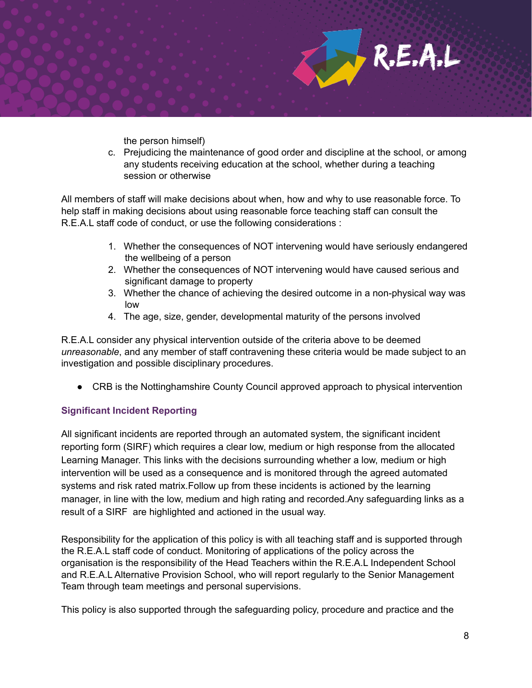

the person himself)

c. Prejudicing the maintenance of good order and discipline at the school, or among any students receiving education at the school, whether during a teaching session or otherwise

All members of staff will make decisions about when, how and why to use reasonable force. To help staff in making decisions about using reasonable force teaching staff can consult the R.E.A.L staff code of conduct, or use the following considerations :

- 1. Whether the consequences of NOT intervening would have seriously endangered the wellbeing of a person
- 2. Whether the consequences of NOT intervening would have caused serious and significant damage to property
- 3. Whether the chance of achieving the desired outcome in a non-physical way was low
- 4. The age, size, gender, developmental maturity of the persons involved

R.E.A.L consider any physical intervention outside of the criteria above to be deemed *unreasonable*, and any member of staff contravening these criteria would be made subject to an investigation and possible disciplinary procedures.

● CRB is the Nottinghamshire County Council approved approach to physical intervention

### **Significant Incident Reporting**

All significant incidents are reported through an automated system, the significant incident reporting form (SIRF) which requires a clear low, medium or high response from the allocated Learning Manager. This links with the decisions surrounding whether a low, medium or high intervention will be used as a consequence and is monitored through the agreed automated systems and risk rated matrix.Follow up from these incidents is actioned by the learning manager, in line with the low, medium and high rating and recorded.Any safeguarding links as a result of a SIRF are highlighted and actioned in the usual way.

Responsibility for the application of this policy is with all teaching staff and is supported through the R.E.A.L staff code of conduct. Monitoring of applications of the policy across the organisation is the responsibility of the Head Teachers within the R.E.A.L Independent School and R.E.A.L Alternative Provision School, who will report regularly to the Senior Management Team through team meetings and personal supervisions.

This policy is also supported through the safeguarding policy, procedure and practice and the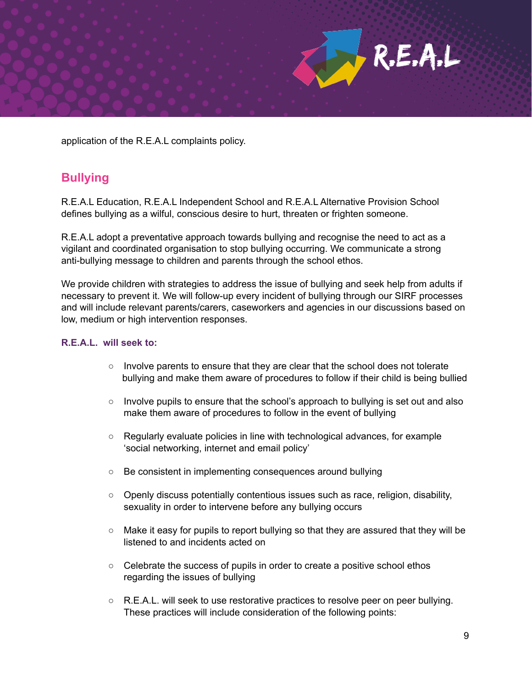$R.E.A.L$ 

application of the R.E.A.L complaints policy.

# **Bullying**

R.E.A.L Education, R.E.A.L Independent School and R.E.A.L Alternative Provision School defines bullying as a wilful, conscious desire to hurt, threaten or frighten someone.

R.E.A.L adopt a preventative approach towards bullying and recognise the need to act as a vigilant and coordinated organisation to stop bullying occurring. We communicate a strong anti-bullying message to children and parents through the school ethos.

We provide children with strategies to address the issue of bullying and seek help from adults if necessary to prevent it. We will follow-up every incident of bullying through our SIRF processes and will include relevant parents/carers, caseworkers and agencies in our discussions based on low, medium or high intervention responses.

#### **R.E.A.L. will seek to:**

- $\circ$  Involve parents to ensure that they are clear that the school does not tolerate bullying and make them aware of procedures to follow if their child is being bullied
- Involve pupils to ensure that the school's approach to bullying is set out and also make them aware of procedures to follow in the event of bullying
- $\circ$  Regularly evaluate policies in line with technological advances, for example 'social networking, internet and email policy'
- Be consistent in implementing consequences around bullying
- $\circ$  Openly discuss potentially contentious issues such as race, religion, disability, sexuality in order to intervene before any bullying occurs
- Make it easy for pupils to report bullying so that they are assured that they will be listened to and incidents acted on
- Celebrate the success of pupils in order to create a positive school ethos regarding the issues of bullying
- $\circ$  R.E.A.L. will seek to use restorative practices to resolve peer on peer bullying. These practices will include consideration of the following points: